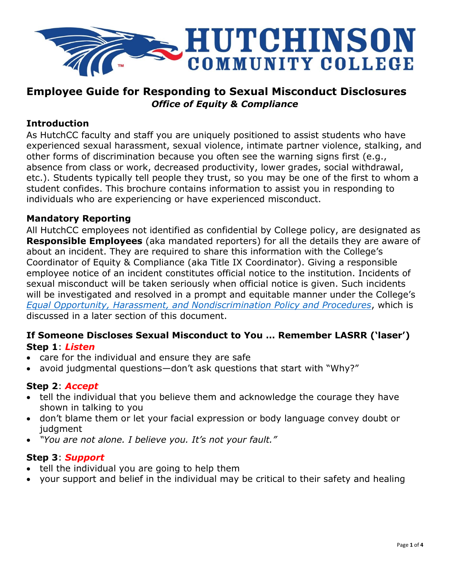

## **Employee Guide for Responding to Sexual Misconduct Disclosures** *Office of Equity & Compliance*

#### **Introduction**

As HutchCC faculty and staff you are uniquely positioned to assist students who have experienced sexual harassment, sexual violence, intimate partner violence, stalking, and other forms of discrimination because you often see the warning signs first (e.g., absence from class or work, decreased productivity, lower grades, social withdrawal, etc.). Students typically tell people they trust, so you may be one of the first to whom a student confides. This brochure contains information to assist you in responding to individuals who are experiencing or have experienced misconduct.

#### **Mandatory Reporting**

All HutchCC employees not identified as confidential by College policy, are designated as **Responsible Employees** (aka mandated reporters) for all the details they are aware of about an incident. They are required to share this information with the College's Coordinator of Equity & Compliance (aka Title IX Coordinator). Giving a responsible employee notice of an incident constitutes official notice to the institution. Incidents of sexual misconduct will be taken seriously when official notice is given. Such incidents will be investigated and resolved in a prompt and equitable manner under the College's *[Equal Opportunity, Harassment, and Nondiscrimination Policy and Procedures](http://www.hutchcc.edu/equity)*, which is discussed in a later section of this document.

#### **If Someone Discloses Sexual Misconduct to You … Remember LASRR ('laser') Step 1**: *Listen*

- care for the individual and ensure they are safe
- avoid judgmental questions—don't ask questions that start with "Why?"

### **Step 2**: *Accept*

- tell the individual that you believe them and acknowledge the courage they have shown in talking to you
- don't blame them or let your facial expression or body language convey doubt or judgment
- *"You are not alone. I believe you. It's not your fault."*

#### **Step 3**: *Support*

- tell the individual you are going to help them
- your support and belief in the individual may be critical to their safety and healing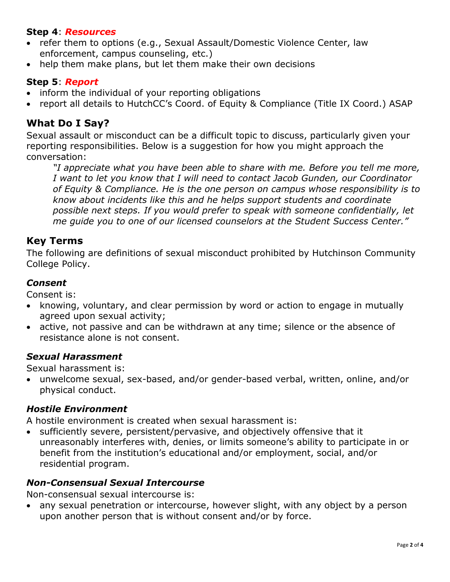#### **Step 4**: *Resources*

- refer them to options (e.g., Sexual Assault/Domestic Violence Center, law enforcement, campus counseling, etc.)
- help them make plans, but let them make their own decisions

#### **Step 5**: *Report*

- inform the individual of your reporting obligations
- report all details to HutchCC's Coord. of Equity & Compliance (Title IX Coord.) ASAP

### **What Do I Say?**

Sexual assault or misconduct can be a difficult topic to discuss, particularly given your reporting responsibilities. Below is a suggestion for how you might approach the conversation:

*"I appreciate what you have been able to share with me. Before you tell me more, I want to let you know that I will need to contact Jacob Gunden, our Coordinator of Equity & Compliance. He is the one person on campus whose responsibility is to know about incidents like this and he helps support students and coordinate possible next steps. If you would prefer to speak with someone confidentially, let me guide you to one of our licensed counselors at the Student Success Center."*

#### **Key Terms**

The following are definitions of sexual misconduct prohibited by Hutchinson Community College Policy.

#### *Consent*

Consent is:

- knowing, voluntary, and clear permission by word or action to engage in mutually agreed upon sexual activity;
- active, not passive and can be withdrawn at any time; silence or the absence of resistance alone is not consent.

#### *Sexual Harassment*

Sexual harassment is:

 unwelcome sexual, sex-based, and/or gender-based verbal, written, online, and/or physical conduct.

#### *Hostile Environment*

A hostile environment is created when sexual harassment is:

• sufficiently severe, persistent/pervasive, and objectively offensive that it unreasonably interferes with, denies, or limits someone's ability to participate in or benefit from the institution's educational and/or employment, social, and/or residential program.

#### *Non-Consensual Sexual Intercourse*

Non-consensual sexual intercourse is:

 any sexual penetration or intercourse, however slight, with any object by a person upon another person that is without consent and/or by force.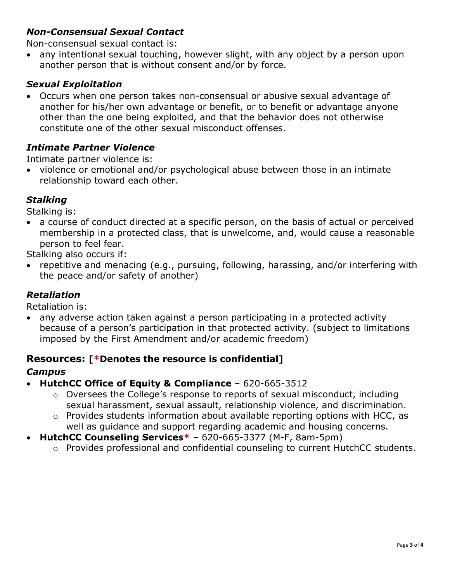## *Non-Consensual Sexual Contact*

Non-consensual sexual contact is:

• any intentional sexual touching, however slight, with any object by a person upon another person that is without consent and/or by force.

## *Sexual Exploitation*

 Occurs when one person takes non-consensual or abusive sexual advantage of another for his/her own advantage or benefit, or to benefit or advantage anyone other than the one being exploited, and that the behavior does not otherwise constitute one of the other sexual misconduct offenses.

## *Intimate Partner Violence*

Intimate partner violence is:

• violence or emotional and/or psychological abuse between those in an intimate relationship toward each other.

## *Stalking*

Stalking is:

 a course of conduct directed at a specific person, on the basis of actual or perceived membership in a protected class, that is unwelcome, and, would cause a reasonable person to feel fear.

Stalking also occurs if:

• repetitive and menacing (e.g., pursuing, following, harassing, and/or interfering with the peace and/or safety of another)

## *Retaliation*

Retaliation is:

 any adverse action taken against a person participating in a protected activity because of a person's participation in that protected activity. (subject to limitations imposed by the First Amendment and/or academic freedom)

### **Resources: [\*Denotes the resource is confidential]**

#### *Campus*

- **[HutchCC Office of Equity &](http://www.hutchcc.edu/administration/campus-safety-and-compliance/) Compliance** 620-665-3512
	- o Oversees the College's response to reports of sexual misconduct, including sexual harassment, sexual assault, relationship violence, and discrimination.
	- o Provides students information about available reporting options with HCC, as well as guidance and support regarding academic and housing concerns.
- **[HutchCC Counseling Services\\*](http://www.hutchcc.edu/administration/student-success-center/personal-counseling)** 620-665-3377 (M-F, 8am-5pm)
	- o Provides professional and confidential counseling to current HutchCC students.